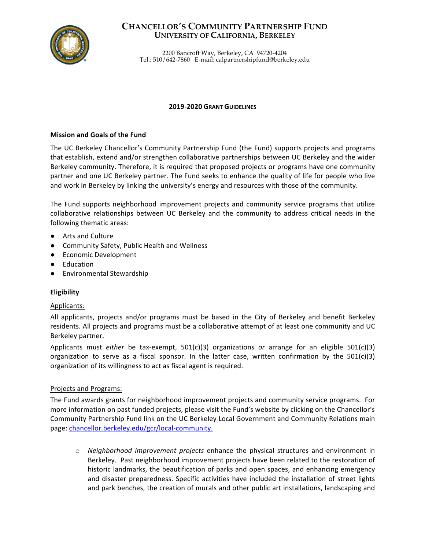

# **CHANCELLOR'S COMMUNITY PARTNERSHIP FUND UNIVERSITY OF CALIFORNIA, BERKELEY**

2200 Bancroft Way, Berkeley, CA 94720-4204 Tel.: 510/642-7860 E-mail: calpartnershipfund@berkeley.edu

# **2019-2020 GRANT GUIDELINES**

# **Mission and Goals of the Fund**

The UC Berkeley Chancellor's Community Partnership Fund (the Fund) supports projects and programs that establish, extend and/or strengthen collaborative partnerships between UC Berkeley and the wider Berkeley community. Therefore, it is required that proposed projects or programs have one community partner and one UC Berkeley partner. The Fund seeks to enhance the quality of life for people who live and work in Berkeley by linking the university's energy and resources with those of the community.

The Fund supports neighborhood improvement projects and community service programs that utilize collaborative relationships between UC Berkeley and the community to address critical needs in the following thematic areas:

- Arts and Culture
- Community Safety, Public Health and Wellness
- Economic Development
- Education
- Environmental Stewardship

# **Eligibility**

# Applicants:

All applicants, projects and/or programs must be based in the City of Berkeley and benefit Berkeley residents. All projects and programs must be a collaborative attempt of at least one community and UC Berkeley partner.

Applicants must *either* be tax-exempt,  $501(c)(3)$  organizations or arrange for an eligible  $501(c)(3)$ organization to serve as a fiscal sponsor. In the latter case, written confirmation by the  $501(c)(3)$ organization of its willingness to act as fiscal agent is required.

# Projects and Programs:

The Fund awards grants for neighborhood improvement projects and community service programs. For more information on past funded projects, please visit the Fund's website by clicking on the Chancellor's Community Partnership Fund link on the UC Berkeley Local Government and Community Relations main page: chancellor.berkeley.edu/gcr/local-community.

 $\circ$  *Neighborhood improvement projects* enhance the physical structures and environment in Berkeley. Past neighborhood improvement projects have been related to the restoration of historic landmarks, the beautification of parks and open spaces, and enhancing emergency and disaster preparedness. Specific activities have included the installation of street lights and park benches, the creation of murals and other public art installations, landscaping and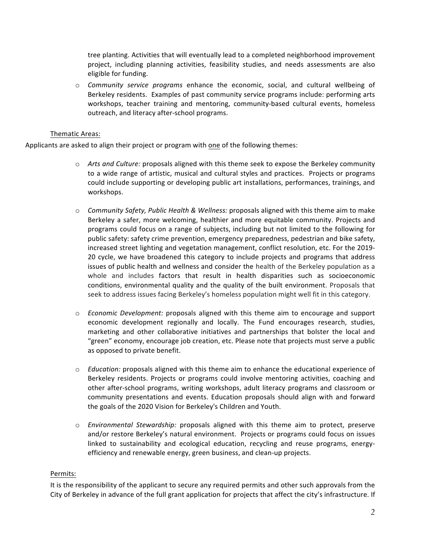tree planting. Activities that will eventually lead to a completed neighborhood improvement project, including planning activities, feasibility studies, and needs assessments are also eligible for funding.

o *Community service programs* enhance the economic, social, and cultural wellbeing of Berkeley residents. Examples of past community service programs include: performing arts workshops, teacher training and mentoring, community-based cultural events, homeless outreach, and literacy after-school programs.

# Thematic Areas:

Applicants are asked to align their project or program with one of the following themes:

- o Arts and Culture: proposals aligned with this theme seek to expose the Berkeley community to a wide range of artistic, musical and cultural styles and practices. Projects or programs could include supporting or developing public art installations, performances, trainings, and workshops.
- $\circ$  *Community Safety, Public Health & Wellness:* proposals aligned with this theme aim to make Berkeley a safer, more welcoming, healthier and more equitable community. Projects and programs could focus on a range of subjects, including but not limited to the following for public safety: safety crime prevention, emergency preparedness, pedestrian and bike safety, increased street lighting and vegetation management, conflict resolution, etc. For the 2019-20 cycle, we have broadened this category to include projects and programs that address issues of public health and wellness and consider the health of the Berkeley population as a whole and includes factors that result in health disparities such as socioeconomic conditions, environmental quality and the quality of the built environment. Proposals that seek to address issues facing Berkeley's homeless population might well fit in this category.
- $\circ$  *Economic Development:* proposals aligned with this theme aim to encourage and support economic development regionally and locally. The Fund encourages research, studies, marketing and other collaborative initiatives and partnerships that bolster the local and "green" economy, encourage job creation, etc. Please note that projects must serve a public as opposed to private benefit.
- $\circ$  *Education:* proposals aligned with this theme aim to enhance the educational experience of Berkeley residents. Projects or programs could involve mentoring activities, coaching and other after-school programs, writing workshops, adult literacy programs and classroom or community presentations and events. Education proposals should align with and forward the goals of the 2020 Vision for Berkeley's Children and Youth.
- o *Environmental Stewardship:* proposals aligned with this theme aim to protect, preserve and/or restore Berkeley's natural environment. Projects or programs could focus on issues linked to sustainability and ecological education, recycling and reuse programs, energyefficiency and renewable energy, green business, and clean-up projects.

#### Permits:

It is the responsibility of the applicant to secure any required permits and other such approvals from the City of Berkeley in advance of the full grant application for projects that affect the city's infrastructure. If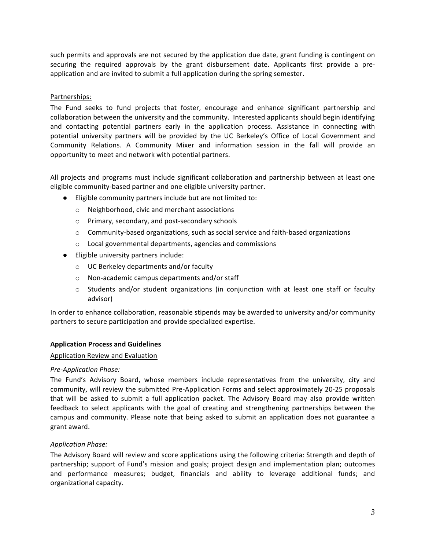such permits and approvals are not secured by the application due date, grant funding is contingent on securing the required approvals by the grant disbursement date. Applicants first provide a preapplication and are invited to submit a full application during the spring semester.

# Partnerships:

The Fund seeks to fund projects that foster, encourage and enhance significant partnership and collaboration between the university and the community. Interested applicants should begin identifying and contacting potential partners early in the application process. Assistance in connecting with potential university partners will be provided by the UC Berkeley's Office of Local Government and Community Relations. A Community Mixer and information session in the fall will provide an opportunity to meet and network with potential partners.

All projects and programs must include significant collaboration and partnership between at least one eligible community-based partner and one eligible university partner.

- Eligible community partners include but are not limited to:
	- o Neighborhood, civic and merchant associations
	- o Primary, secondary, and post-secondary schools
	- $\circ$  Community-based organizations, such as social service and faith-based organizations
	- o Local governmental departments, agencies and commissions
- Eligible university partners include:
	- $\circ$  UC Berkeley departments and/or faculty
	- $\circ$  Non-academic campus departments and/or staff
	- $\circ$  Students and/or student organizations (in conjunction with at least one staff or faculty advisor)

In order to enhance collaboration, reasonable stipends may be awarded to university and/or community partners to secure participation and provide specialized expertise.

# **Application Process and Guidelines**

#### Application Review and Evaluation

# *Pre-Application Phase:*

The Fund's Advisory Board, whose members include representatives from the university, city and community, will review the submitted Pre-Application Forms and select approximately 20-25 proposals that will be asked to submit a full application packet. The Advisory Board may also provide written feedback to select applicants with the goal of creating and strengthening partnerships between the campus and community. Please note that being asked to submit an application does not guarantee a grant award.

# *Application Phase:*

The Advisory Board will review and score applications using the following criteria: Strength and depth of partnership; support of Fund's mission and goals; project design and implementation plan; outcomes and performance measures; budget, financials and ability to leverage additional funds; and organizational capacity.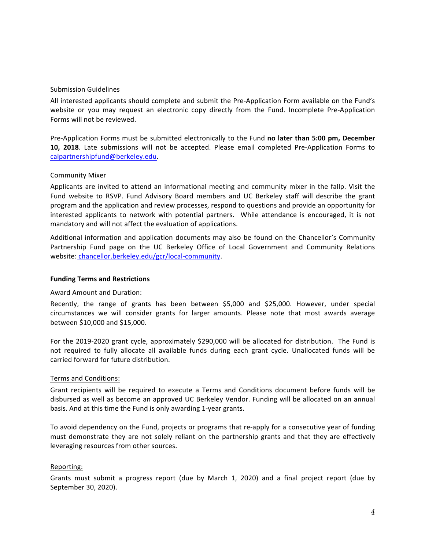#### Submission Guidelines

All interested applicants should complete and submit the Pre-Application Form available on the Fund's website or you may request an electronic copy directly from the Fund. Incomplete Pre-Application Forms will not be reviewed.

Pre-Application Forms must be submitted electronically to the Fund **no later than 5:00 pm, December 10, 2018**. Late submissions will not be accepted. Please email completed Pre-Application Forms to calpartnershipfund@berkeley.edu. 

#### Community Mixer

Applicants are invited to attend an informational meeting and community mixer in the fallp. Visit the Fund website to RSVP. Fund Advisory Board members and UC Berkeley staff will describe the grant program and the application and review processes, respond to questions and provide an opportunity for interested applicants to network with potential partners. While attendance is encouraged, it is not mandatory and will not affect the evaluation of applications.

Additional information and application documents may also be found on the Chancellor's Community Partnership Fund page on the UC Berkeley Office of Local Government and Community Relations website: chancellor.berkeley.edu/gcr/local-community. 

#### **Funding Terms and Restrictions**

# Award Amount and Duration:

Recently, the range of grants has been between \$5,000 and \$25,000. However, under special circumstances we will consider grants for larger amounts. Please note that most awards average between \$10,000 and \$15,000.

For the 2019-2020 grant cycle, approximately \$290,000 will be allocated for distribution. The Fund is not required to fully allocate all available funds during each grant cycle. Unallocated funds will be carried forward for future distribution.

#### Terms and Conditions:

Grant recipients will be required to execute a Terms and Conditions document before funds will be disbursed as well as become an approved UC Berkeley Vendor. Funding will be allocated on an annual basis. And at this time the Fund is only awarding 1-year grants.

To avoid dependency on the Fund, projects or programs that re-apply for a consecutive year of funding must demonstrate they are not solely reliant on the partnership grants and that they are effectively leveraging resources from other sources.

#### Reporting:

Grants must submit a progress report (due by March 1, 2020) and a final project report (due by September 30, 2020).